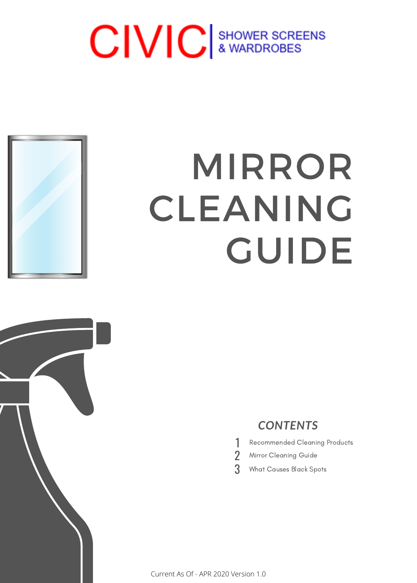# CIVIC & WARDROBES



# MIRROR CLEANING GUIDE



#### *CONTENTS*

- 1 Recommended Cleaning Products
- 2 Mirror Cleaning Guide
- 3 What Causes Black Spots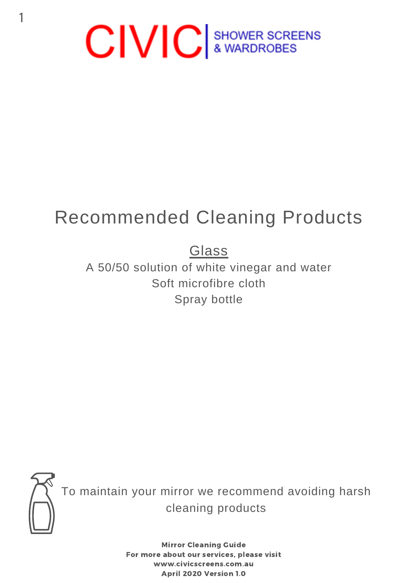

## Recommended Cleaning Products

### Glass

A 50/50 solution of white vinegar and water Soft microfibre cloth Spray bottle



To maintain your mirror we recommend avoiding harsh cleaning products

> Mirror Cleaning Guide For more about our services, please visit www.civicscreens.com.au April 2020 Version 1.0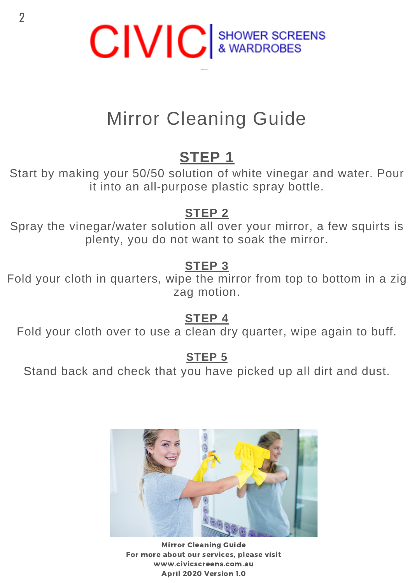

## Mirror Cleaning Guide

### **STEP 1**

Start by making your 50/50 solution of white vinegar and water. Pour it into an all-purpose plastic spray bottle.

#### **STEP 2**

Spray the vinegar/water solution all over your mirror, a few squirts is plenty, you do not want to soak the mirror.

#### **STEP 3**

Fold your cloth in quarters, wipe the mirror from top to bottom in a zig zag motion.

#### **STEP 4**

Fold your cloth over to use a clean dry quarter, wipe again to buff.

#### **STEP 5**

Stand back and check that you have picked up all dirt and dust.



Mirror Cleaning Guide For more about our services, please visit www.civicscreens.com.au April 2020 Version 1.0